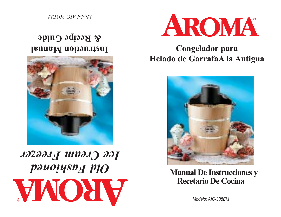



**Instruction Manual & Recipe Guide**

*Model AIC-305EM*

*Modelo: AIC-305EM*

**Manual De Instrucciones y Recetario De Cocina**



**Congelador para Helado de GarrafaA la Antigua**

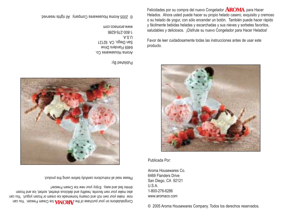Congratulations on your purchase of the AROWA lce Cream Freezer. You can now make your own rich and creamy homemade ice cream or frozen yogurt. You can also make your own favorite, healthy and delicious sherbet, sorbet, ice and frozen drinks fast and easy. Enjoy your new Ice Cream Freezer!

Please read all instructions carefully before using this product.

© 2005 Aroma Housewares Company. All rights reserved.

Published By:

98Z9-9*L*Z-008-L www.aromaco.com

 $A.S.U$ 

Aroma Housewares Co. 6469 Flanders Drive San Diego, CA 92121

Felicidades por su compra del nuevo Congelador  $AROMA$  para Hacer Helados. Ahora usted puede hacer su propio helado casero, exquisito y cremoso o su helado de yogur, con sólo encender un botón. También puede hacer rápido y fácilmente bebidas heladas y escarchadas y sus nieves y sorbetes favoritos, saludables y deliciosos. ¡Disfrute su nuevo Congelador para Hacer Helados!

Favor de leer cuidadosamente todas las instrucciones antes de usar esteproducto.

Publicada Por:

© 2005 Aroma Housewares Company. Todos los derechos reservados.

6469 Flanders DriveSan Diego, CA 92121 U.S.A.1-800-276-6286www.aromaco.com

Aroma Housewares Co.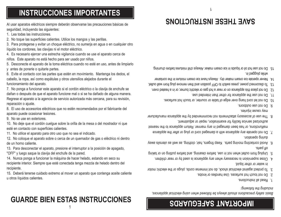# **GUARDE BIEN ESTAS INSTRUCCIONES**

15. Deberá tenerse cuidado extremo al mover un aparato que contenga aceite caliente

1

## **IMPORTANT SAFEGUARDS**

*Basic safety precautions should always be followed when using electrical appliances, including the following:*

- 1. Read all instructions.
- 2. Do not touch hot surfaces. Use handles or knobs.
- 3. To protect against electrical shock, do not immerse cords, plugs or the electric motor in water or other liquid.
- 4. Close supervision is necessary when any appliance is used by or near children.
- 5. Unplug from outlet when not in use, before cleaning, and before putting on or taking off parts.
- 6. Avoid contacting moving parts. Keep fingers, hair, clothing, as well as utensils away during operation.
- 7. Do not operate any appliance with a damaged cord or plug or after the appliance malfunctions, or has been damaged in any manner. Return appliance to the nearest authorized service facility for examination, repair or adjustment.
- 8. The use of accessory attachments not recommended by the appliance manufacturer may cause injuries.
- 9. Do not use outdoors.
- 10. Do not let cord hang over edge of table or counter, or touch hot surfaces.
- 11. Do not use the appliance for other than intended use.
- 12. Do not place this appliance on or near a hot gas or electric burner, or in a heated oven.
- 13. To disconnect power, press switch to OFF position and then remove plug from wall outlet.
- 14. Never operate ice cream maker dry. Always have ice cream mixture in the container
- while bindged in. 15. Do not use hot oil or liquids in ice cream maker. Always chill mixtures before churning.
- Al usar aparatos eléctricos siempre deberán observarse las precauciones básicas de seguridad, incluyendo las siguientes:
- 1. Lea todas las instrucciones.

9. No se use en exteriores.

de un horno caliente.

u otros líquidos calientes.

recipiente.

esté en contacto con superficies calientes.

- 2. No toque las superficies calientes. Utilice los mangos y las perillas.
- 3. Para protegerse y evitar un choque eléctrico, no sumerja en agua o en cualquier otro líquido los cordones, las clavijas ni el motor eléctrico.
- 4. Es necesario ejercer una estrecha vigilancia cuando se use el aparato cerca de
- niños. Este aparato no está hecho para ser usado por niños.
- 5. Desconecte el aparato de la toma eléctrica cuando no esté en uso, antes de limpiarlo
- y antes de ponerle o quitarle partes.
- 6. Evite el contacto con las partes que estén en movimiento. Mantenga los dedos, el cabello, la ropa, así como espátulas y otros utensilios alejados durante el
- 
- funcionamiento del aparato.
- 7. No ponga a funcionar este aparato si el cordón eléctrico o la clavija de enchufe se dañan o después de que el aparato funcione mal o si se ha dañado de alguna manera. Regrese el aparato a la agencia de servicio autorizada más cercana, para su revisión, reparación o ajuste.
- 8. El uso de accesorios eléctricos que no estén recomendados por el fabricante del aparato puede ocasionar lesiones.

10. No deje que el cordón cuelgue sobre la orilla de la mesa o del mostrador ni que

12. No coloque el aparato sobre o cerca de un quemador de gas o eléctrico ni dentro

13. Para desconectar el aparato, presione el interruptor a la posición de apagado,

14. Nunca ponga a funcionar la máquina de hacer helado, estando en seco su recipiente interior. Siempre que esté conectada tenga mezcla de helado dentro del

- 
- 
- 

11. No utilice el aparato para otro uso que no sea el indicado.

"OFF" y luego saque la clavija del enchufe de la pared.

**SAVE THESE INSTRUCTIONS**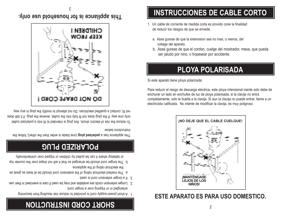## **SHORT CORD INSTRUCTION** 2

- 1. A short power-supply cord is provided to reduce risk resulting from becoming
- entangled in or tripping over a longer cord. 2. Longer extension cords are available and may be used if care is exercised in their use.
- 3. If a longer extension cord is used:
- a. The marked electrical rating of the extension cord should be at least as great as the electrical rating of the appliance.
- b. The longer cord should be arranged so that it will not drape over the counter top or tabletop where it can be pulled by children or tripped over unintentionally.

# **POLARIZED PLUG**

[ujis spliance has a **polarized plug** (one blade is wider than the other); follow the instructions below:

To reduce the risk of electric shock, this plug is ipularized outlet into bother only one way. If the plug does not fit fully into the outlet, reverse the plug. If it still does not fit, contact a qualified electrician. Do not attempt to modify the plug in any way.



## **ESTE APARATO ES PARA USO DOMESTICO.**



Para reducir el riesgo de descarga electrica, este ploya intensional mente solo debe de enchurar un lado en enchufes de luz de ploya polarisada, si la clavija no entra completamente, solo le buelta a la clavija. Si aun la clavija no puede entrar, llame a un electricista calificada. No intente de modificar la clavija, es muy poligroso.

Si este aparato tiene ploya polarizada:

## **PLOYA POLARISADA**

- b. Asse gurese de que el cordon, cuelge del mostrador, mesa, que pueda ser jaludo por nino, o tropesear por accidente.
- a. Asse gurese de que la extenssion sea no mas, o menos, del voltage del aparato.
- 1. Un cable de corriente de medida corta es provido cone la finalidad de reducir los riesgos de que se envede.

# **INSTRUCCIONES DE CABLE CORTO**

**This appliance is for household use only.**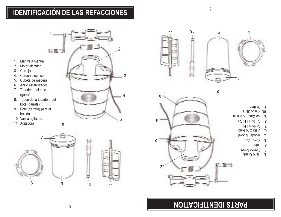## **IDENTIFICACIÓN DE LAS REFACCIONES**

3

4

5

2

1

に変づ

1. Manivela manual

- 2. Motor eléctrico
- 3. Cerrojo
- 4. Cordón eléctrico
- 5. Cubeta de madera
- 6. Anillo estabilizador
- 7. Tapadera del bote (garrafa)
- 8. Tapón de la tapadera del bote (garrafa)
- 9. Bote (garrafa) para el helado
- 10. Varilla agitadora
- 11. Agitadora



## **PARTS IDENTIFICATION**

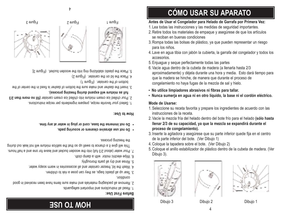## **CÓMO USAR SU APARATO**

### **Antes de Usar el Congelador para Helado de Garrafa por Primera Vez:**

- 1. Lea todas las instrucciones y las medidas de seguridad importantes.
- 2. Retire todos los materiales de empaque y asegúrese de que los artículos se reciban en buenas condiciones
- 3. Rompa todas las bolsas de plástico, ya que pueden representar un riesgo para los niños.
- 4. Lave en agua tibia con jabón la cubierta, la garrafa del congelador y todos los accesorios.
- 5. Enjuague y seque perfectamente todas las partes
- 6. Vacíe agua dentro de la cubeta de madera (a llenarla hasta 2/3 aproximadamente) y déjela durante una hora y media. Esto dará tiempo para que la madera se hinche, de manera que durante el proceso de congelamiento no haya fugas de la mezcla de sal y hielo.
- **No utilice limpiadores abrasivos ni fibras para tallar.**
- **Nunca sumerja en agua ni en otro líquido, la base ni el cordón eléctrico.**

### **Mode de Usarse:**

- 1. Seleccione su receta favorita y prepare los ingredientes de acuerdo con las instrucciones de la receta.
- 2. Vacíe la mezcla fría del helado dentro del bote frío para el helado **(sólo hasta llenar 2/3 de su capacidad, ya que la mezcla se expandirá durante el proceso de congelamiento).**
- 3. Inserte la agitadora y asegúrese que su parte inferior quede fija en el centro de la parte inferior del bote. (Ver Dibujo 1)
- 4. Coloque la tapadera sobre el bote. (Ver Dibujo 2)
- 5. Coloque el anillo estabilizador de plástico dentro de la cubeta de madera. (Ver Dibujo 3).





4

















# **HOW TO USE**



- 5. Place the plastic stabilizing ring into the wooden bucket. (Figure 3]
	-
- 3. Insert the dasher and make sure the bottom of dasher is fixed in the center of the
	- **full as mixture will expand during freezing process).**
- 2. Pour chilled ice cream mixture into chilled ice cream canister (fill no more than 2/3
	- 1. Select your favorite recipe, prepare ingredients per recipe instructions.

### **How to Use:**

- **Do not immerse the base, cord or plug in water at any time.**
	- **Do not use abrasive cleaners or scouring pads.**
		-

### the freezing process.

- This will give it a chance to swell up so that the salt/ice mixture will not leak out during
- 7. Pour water (about 2/3 full) into the wooden bucket and leave for one and a half hours.
- - 6. Wipe electric motor with a damp cloth.
		-
	- 5. Rinse and dry all parts thoroughly.
	- 4. Wash the lid, freezer canister and all accessories in warm soapy water.
		-
		- condition. 3. Tear up all plastic bags, as they can pose a risk to children.
	- 2. Remove all packaging materials and make sure items have been received in good
		- 1. Read all instructions and important safeguards.

### **Before First Use:**

- - bottom of the canister. (Figure 1)



- -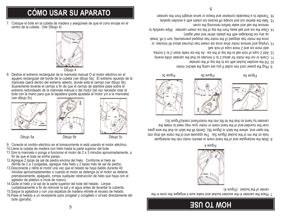# **HOW TO USE**

7. Place the canister in the wooden bucket and make sure it engages the cone in the center of the bucket. (Figure 4)



8. Slide the rectangular end of the hand crank or electric motor into the rectangular hole on the rim of the bucket (figure 5a). The opposite end of the crank will drop into the open end, where the latch is (figure 5b). Gently lift the latch as that the yeos over the rounded end of the hand crank or motor (you may need to rotate the canister by hand so that the lid fith othe motor/hand crank)(Figure 5c).







Figure 5a Figure 5c Figure 5c Figure 5c

- 9. Plug the power cord into outlet if you are using the electric motor.
- 10. Fill the wooden bucket with ice to the top of the canister.
- 11. Crank or run the motor for about 2 to 3 minutes so that the canister chills evenly.
- 12. Add 2 cups of rock salt to the top of the ice. As the isometheories,
- add more ice and 2 more cups of rock salt. 13. Unplug and remove motor drive once ice cream has churned about 40 minutes, or once the motor has stopped (if the motor has stopped prematurely, turn it off, break
- up any ice blockages with the plastic stirrer and start again). 14. Clear the ice and salt away from the top of the ice cream canister. Wipe carefully to
- remove the salt and water before removing the cover. 15. Take the dasher out and scrape off excess ice cream with a wooden spatula.
- 16. Transfer to a freezable container and freeze or serve straight from the canister.

# <sup>5</sup> **CÓMO USAR SU APARATO**

7. Coloque el bote en la cubeta de madera y asegúrese de que el cono encaje en el centro de la cubeta. (Ver Dibujo 4)





8. Deslice el extremo rectangular de la manivela manual O el motor eléctrico en el agujero rectangular del borde de la cubeta (ver dibujo 5a). El extremo opuesto de la manivela caerá dentro del extremo abierto, donde está el cerrojo (ver dibujo 5b). Suavemente levante el cerrojo a fin de que el cerrojo de alambre pase sobre el extremo redondeado de la manivela manual o del motor (tal vez necesite rotar el bote con la mano para que la tapadera quede ajustada al motor y/o a la manivela) (ver dibujo 5c)



Dibujo 5a Dibujo 5b Dibujo 5c



- 9. Conecte el cordón eléctrico en el tomacorriente si está usando el motor eléctrico.
- 10.Llene la cubeta de madera con hielo hasta la parte superior del bote.
- 11.Gire la manivela o ponga a funcionar el motor de 2 a 3 minutos aproximadamente, a fin de que el bote se enfríe parejo.
- 12.Agregue 2 tazas de sal de piedra encima del hielo. Conforme el hielo se
- derrita de 2 a 3 pulgadas, agregue más hielo y 2 tazas más de sal de piedra.
- 13.Desconecte y retire el motor una vez que el helado se haya batido durante 40 minutos aproximadamenteo o cuando el motor se detenga (si el motor se detiene prematuramente, apáguelo, rompa cualquier obstrucción de hielo que haya con el
- agitador de plástico e inicie de nuevo). 14.Quite el hielo y la sal de la parte superior del bote del helado. Limpie cuidadosamente a fin de remover la sal y el agua antes de levantar la cubierta.
- 15.Saque la agitadora y con una espátula de madera retírele el exceso de helado.
- 16.Pase el helado a un receipiente para congelar y congélelo o sírvalo directamente del bote (garrafa).

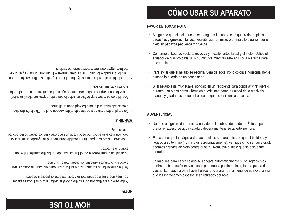## **HOW TO USE**

### **NOTE:**

- Make sure the ice that you put into the bucket is broken into small, coarse pieces. You may use a mallet or hammer to break into smaller pieces if needed.
- As the canister turns, stir and mix the salt and ice together. Use the plastic stirrer every 10-15 minutes while the ice cream maker is in use.
- To avoid ice cream seebing out of the canister, do not lay the canister flat when storing in a freezer.
- If ice cream is too soft, put it in a freezable container and refrigerate for an hour or two. You may also attach the hand crank unit and crank the ice cream to the desired consistency.

### **WARNING:**

- Do not plug the drain hole on the side of the wooden bucket. This is for draining excess salt water and should be kept open at all times.
- Should electric motor stop before churning is complete (approximately 40 minutes), check to see if large ice cubes are jammed against the canister. If so, turn off motor and remove jammed ice.
- The electric motor will automatically shut off if the ingredients in the canister are too hard for the paddle to turn. The ice cream maker will function normally again once the hard ingredients are removed from the canister.

• La máquina para hacer helado se apagará automáticamente si los ingredientes dentro del bote están muy espesos para que la paleta de la agitadora pueda dar vuelta. La máquina para hacer helado funcionará normalmente de nuevo una vez que los ingredientes espesos sean retirados del bote.

6

- En caso de que la máquina de hacer helado se pare antes de que el batido haya llegado a su término (40 minutos aproximadamente), verifique si no se han atorado pedazos grandes de hielo contra el bote. Remueva el hielo que se encuentre atorado.
- No tape el agujero de drenaje a un lado de la cubeta de madera. Éste es para drenar el exceso de agua salada y deberá mantenerse abierto siempre.

### **ADVERTENCIAS**

- Si el helado está muy suave, póngalo en un recipiente para congelar y refrigérelo durante una o dos horas. También puede incorporar la unidad de la manivela manual y girarla hasta que el helado tenga la consistencia deseada.
- Para evitar que el helado se escurra fuera del bote, no lo coloque horizontalmente cuando lo guarde en un congelador.
- Conforme el bote dé vueltas, revuelva y mezcle juntos la sal y el hielo. Utilice el agitador de plástico cada 10 ó 15 minutos mientras esté en uso la máquina para hacer helado.
- pequeñas y gruesas. Tal vez necesite usar un mazo o un martillo para romper el hielo en pedazos pequeños y gruesos.

### **FAVOR DE TOMAR NOTA**

• Asegúrese que el hielo que usted ponga en la cubeta esté quebrado en piezas

# **CÓMO USAR SU APARATO**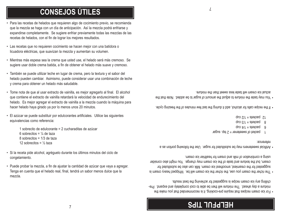## **HELPFUL TIPS**

• For ice cream recipes that require pre-cooking, it is recommended that you make the mixture a day ahead. The mixture will then be able to cool completely and expand. Prechilling any ice cream recipe is suggested for achieving the best results.

• The richer the cream you use, the richer the ice cream will be. Whipped heavy cream is suggested for the creamiest, smoothest ice cream. Milk can also be substituted for cream, but the texture and taste of the ice cream may change. You might also consider using a combination of milk and cream for healthier ice cream.

• Artificial sweeteners may be substituted for sugar. Use the following portion as a reference:

- packet of sweetener  $=$   $\angle$  tsp. sugar
- $\frac{1}{2}$  packets = 1/4 cup
- 8 backets =  $1/3$  cup
- $dn_2 z/t =$  staysed zu

• If the recipe calls for alcohol, add it during the last few minutes of the freezing cycle.

• You may taste the mixture to adjust the amount of sugar to be added. Note that the actual ice cream will taste less sweet than the mixture.

- Para las recetas de helados que requieren algo de cocimiento previo, se recomienda que la mezcla se haga con un día de anticipación. Así la mezcla podrá enfriarse y expandirse completamente. Se sugiere enfriar previamente todas las mezclas de las recetas de helados, con el fin de lograr los mejores resultados.
- Las recetas que no requieren cocimiento se hacen mejor con una batidora o licuadora eléctricas, que suavizan la mezcla y aumentan su volumen.
- Mientras más espesa sea la crema que usted use, el helado será más cremoso. Se sugiere usar doble crema batida, a fin de obtener el helado más suave y cremoso.
- También se puede utilizar leche en lugar de crema, pero la textura y el sabor del helado pueden cambiar. Asimismo, puede considerar usar una combinación de leche
- y crema para obtener un helado más saludable.

• Tome nota de que al usar extracto de vainilla, es mejor agregarlo al final. El alcohol que contiene el extracto de vainilla retardará la velocidad de endurecimiento del helado. Es mejor agregar el extracto de vainilla a la mezcla cuando la máquina para

• El azúcar se puede substituir por edulcorantes artificiales. Utilice las siguientes

1 sobrecito de edulcorante = 2 cucharaditas de azúcar

• Si la receta pide alcohol, agréguelo durante los últimos minutos del ciclo de

• Puede probar la mezcla, a fin de ajustar la cantidad de azúcar que vaya a agregar. Tenga en cuenta que el helado real, final, tendrá un sabor menos dulce que la

hacer helado haya girado ya por lo menos unos 20 minutos.

equivalencias como referencia:

congelamiento.

mezcla.

6 sobrecitos =  $\frac{1}{4}$  de taza 8 sobrecitos = 1/3 de taza12 sobrecitos =  $\frac{1}{2}$  taza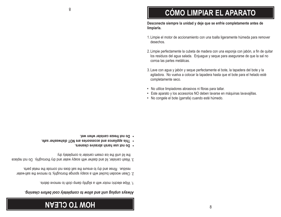## **HOW TO CLEAN**

### *Always unplug unit and allow to completely cool before cleaning.*

- 1. Wipe electric motor with a slightly damp cloth to remove debris.
- 2. Clean wooden bucket with a soapy sponge thoroughly, to remove the salt-water residue. Rinse and dry to ensure the salt does not corrode the metal parts.
- 3. Wash canister, lid and dasher with soapy water and dry thoroughly. Do not replace
- the lid until the ice cream canister is completely dry.
- **Do not use harsh abrasive cleaners.**
- **This appliance and accessories are NOT dishwasher safe.**
- **• Do not freeze canister when wet.**

**•** No utilice limpiadores abrasivos ni fibras para tallar. **•** Este aparato y los accesorios NO deben lavarse en máquinas lavavajillas. **•** No congele el bote (garrafa) cuando esté húmedo.

corroa las partes metálicas.

- 3. Lave con agua y jabón y seque perfectamente el bote, la tapadera del bote y la agitadora. No vuelva a colocar la tapadera hasta que el bote para el helado esté completamente seco.
- desechos.2. Limpie perfectamente la cubeta de madera con una esponja con jabón, a fin de quitar

los residuos del agua salada. Enjuague y seque para asegurarse de que la sal no

1. Limpie el motor de accionamiento con una toalla ligeramente húmeda para remover

**CÓMO LIMPIAR EL APARATO**

### **Desconecte siempre la unidad y deje que se enfríe completamente antes de limpiarla.**

8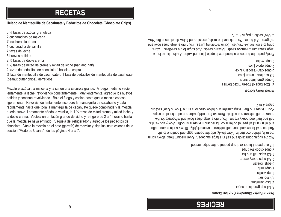## **RECIPES**

### **Peanut Butter Chocolate Chip Ice Cream**

 $3-1/4$  cnb dusunusted snder 2 tbsp cornstarch  $1$ les ds $1$   $7/1$ 1 tsp vanilla 7 cups milk 5 eggs, beaten  $2-3/4$  cnba peavy cream 1 - 1/2 cups half and half 2 cups chocolate chips 1/2 cup peanut butter or 1 cup peanut butter chips, melted

Mix the sugar, cornstarch and salt in a large saucepan. Over medium heat, slowly stir in the milk, stirring constantly. Very slowly, add the beaten eggs and continue to stir. Reduce heat to low and cook until mixture thickens slightly. Slowly stir in peanut butter and whisk until all peanut butter is combined and mixture is enooth. Slowly add vanilla, half and half, and heavy cream. Pour into a large glass bowl and refrigerate for 2-4 hours or until mixture has chilled. Remove from refrigerator and add chocolate chips. Pour mixture into the mixing canister and follow directions in the "How to Use" section,  $\cdot$  to  $\uparrow$  as a paged

### **Mixed Berry Sorbet**

2 ,12oz bags of the series between the series 3 cnba duaungreq ander 1/3 cup fresh lemon juice 5 cups cran-raspberry juice z cnba sbbie lnice 2 cups water

Finely purée the berries in a blender with apple juice and water. Strain mixture into a large saucepan to remove seeds. Discard seeds. Add sugar to the seedless mixture, bring to a boil for 3-4 minutes. Stir in remaining juices. Pour into a large glass bowl and refrigerate 2-4 hours. Pour mixture into mixing canister and follow directions in the "How to Use" section, pages  $4$  to  $\prime$ .

6

**RECETAS**

### **Helado de Mantequilla de Cacahuate y Pedacitos de Chocolate (Chocolate Chips)**

½ taza de mantequilla de cacahuate o 1 taza de pedacitos de mantequilla de cacahuate

Mezcle el azúcar, la maicena y la sal en una cacerola grande. A fuego mediano vacíe lentamente la leche, revolviendo constantemente. Muy lentamente, agregue los huevos batidos y continúe revolviendo. Baje el fuego y cocine hasta que la mezcla espese ligeramente. Revolviendo lentamente incorpore la mantequilla de cacahuate y bata rápidamente hasta que toda la mantequilla de cacahuate quede combinada y la mezcla quede suave. Lentamente añada la vainilla, la 1 ½ tazas de mitad crema y mitad leche y la doble crema. Vacíela en un tazón grande de vidrio y refrigere de 2 a 4 horas o hasta que la mezcla se haya enfriado. Sáquela del refrigerador y agregue los pedacitos de chocolate. Vacíe la mezcla en el bote (garrafa) de mezclar y siga las instrucciones de la

9

3 ¼ tazas de azúcar granulada

- 2 cucharaditas de maicena
- ½ cucharadita de sal
- 
- 1 cucharadita de vainilla
- 7 tazas de leche
- 
- 5 huevos batidos
- 
- 2 ¾ tazas de doble crema

(peanut butter chips), derretidos

- 1 ½ tazas de mitad de crema y mitad de leche (half and half)
- 
- 
- 

sección "Modo de Usarse", de las páginas 4 a la 7.

- 2 tazas de pedacitos de chocolate (chocolate chips)
- 
- 
-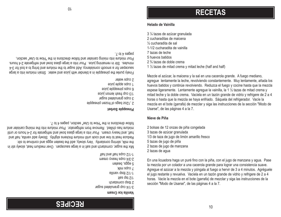## **RECETAS**

### **Helado de Vainilla**

3 ¼ tazas de azúcar granulada

- 2 cucharaditas de maicena
- ½ cucharadita de sal
- 1-1/2 cucharadita de vainilla
- 7 tazas de leche
- 5 huevos batidos
- 
- 2 ¾ tazas de doble crema
- 1  $\frac{1}{2}$  tazas de mitad crema y mitad leche (half and half)

Mezcle el azúcar, la maicena y la sal en una cacerola grande. A fuego mediano, agregue lentamente la leche, revolviendo constantemente. Muy lentamente, añada los huevos batidos y continúe revolviendo. Reduzca el fuego y cocine hasta que la mezcla espese ligeramente. Lentamente agregue la vainilla, la 1 ½ tazas de mitad crema y mitad leche y la doble crema. Vacíela en un tazón grande de vidrio y refrigere de 2 a 4 horas o hasta que la mezcla se haya enfriado. Sáquela del refrigerador. Vacíe la mezcla en el bote (garrafa) de mezclar y siga las instrucciones de la sección "Modo de Usarse", de las páginas 4 a la 7.

10

En una licuadora haga un puré fino con la piña, con el jugo de manzana y agua. Pase la mezcla por un colador a una cacerola grande para lograr una consistencia suave. Agregue el azúcar a la mezcla y póngala al fuego a hervir de 3 a 4 minutos. Agréguele el jugo restante y revuelva. Vacíela en un tazón grande de vidrio y refrigere de 2 a 4 horas. Vacíe la mezcla en el bote (garrafa) de mezclar y siga las instrucciones de la

### **Nieve de Piña**

- 2 bolsas de 12 onzas de piña congelada
- 3 tazas de azúcar granulada
- 
- 1/3 de taza de jugo de limón amarillo fresco
- 
- 
- 

sección "Modo de Usarse", de las páginas 4 a la 7.

- 
- 
- 
- 5 tazas de jugo de piña
- 
- 
- 

2 tazas de agua

- 2 tazas de jugo de manzana
- 
- 
- 
- 
- 
- 
- 
- 
- 
- 
- 
- 
- 
- 
- 
- 
- 
- 
- 
- 
- 

 $\cdot$  to  $\uparrow$  as a paged

**Vanilla Ice Cream**

2 tbsp cornstarch  $1$ lisa qat $2/1$  $g$ llinsv qedi  $Z/I$ -r 7 cups milk 5 eggs, beaten

3-1/4 cnb duanulated sugar

2-3/4 cups heavy cream 1lad bns tlad aquo S\r-r

**Pineapple Sorbet**

3 cups granulated sugar 1/3 cnb tresh lemon juice p cnbs biuesbble lnice 1 cnba sbble lnice 2 cups water

2 ,12oz bags of frozen pineapple

Finely purée the pineapple in a blender with juice and water. Strain mixture into a large saucepan for a smooth consistency. Add sugar to the mixture and bring to a boil for 3-4 minutes. Stir in remaining juice. Pour into a large glass bowl and refrigerate 2-4 hours. Pour mixture into mixing canister and follow directions in the "How to Use" section,

**RECIPES**

Mix the sugar, cornstarch and salt in a large saucepan. Over medium heat, slowly stir in the milk, stirring constantly. Very slowly, add the beaten eggs and continue to stir. Reduce heat to low and cook until mixture thickens slightly. Slowly add vanilla, half and half, and heavy cream. Pour into a large glass bowl and refrigerate for 2-4 hours or until mixture has chilled. Remove from refrigerator. Pour mixture into the mixing canister and

follow directions in the "How to Use" section, pages 4 to  $\ell$ .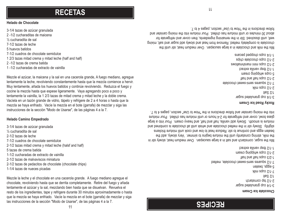## **RECIPES**

### **Chocolate Ice Cream**

 $3-1/4$  cnb duanulated sugar 2-1/2 tsp cornstarch 1/2 Salt  $\frac{2}{1}$ -1/2 cups milk 5 eggs, beaten 7-1/2 squares semi-sweet chocolate, melted 1 -2/3 cups half and half z-1/5 cnbs wubblud cream 1-1/2 tbsp vanilla extract

Mix the sugar, cornstarch and salt in a large saucepan. Over medium heat, slowly stir in the milk, stirring constantly until the mixture begins of animer. Very slowly, add the beaten eggs and continue to stir. Reduce heat to low and cook until mixture thickens slightly. Slowly stir in the melted chocolate and whisk until all chocolate is combined and mixture is smooth. Slowly add vanilla, half and half, and heavy cream. Pour into a large glass bowl, cover and refrigerate for 2-4 hours or until mixture has chilled. Pour mixture into the mixing canister and follow directions in the "How to Use" section, pages 4 to  $\sim$ 

### **Rocky Road Ice Cream**

 $3-1/4$  cnb duanulated sugar 1/2 Salt  $X||U \simeq 2/L - Z$ 7/17 sdneues seun-sweet chocolate 2-1/2 cups half and half 5 cups whipping cream 1-1/2 tbsp vanilla extract smollemnalem inimi squo z/l-z 2-1/2 cups chocolate chips sueped peddoup sdno b/L-L

Mix the milk and chocolate in a large saucepan. Over medium heat, stir until the chocolate is completely melted. Remove from heat and slowly add sugar and salt, mixing well, until dissolved. Stir in the remaining ingredients, then cover and refrigerate for about 30 minutes or until mixture has chilled. Pour mixture into the mixing canister and follow directions in the "How to Use" section, pages 4 to 7.

## **RECETAS**

### **Helado de Chocolate**

3-1/4 tazas de azúcar granulada 2 -1/2 cucharaditas de maicena½ cucharadita de sal 7-1/2 tazas de leche5 huevos batidos7-1/2 cuadros de chocolate semidulce1 2/3 tazas mitad crema y mitad leche (half and half) 2 -1/2 tazas de crema batida1 -1/2 cucharadas de extracto de vainilla

Mezcle el azúcar, la maicena y la sal en una cacerola grande, A fuego mediano, agregue lentamente la leche, revolviendo constantemente hasta que la mezcla comience a hervir. Muy lentamente, añada los huevos batidos y continúe revolviendo. Reduzca el fuego y cocine la mezcla hasta que espese ligeramente. Vaya agregando poco a poco y lentamente la vainilla, la 1 2/3 tazas de mitad crema y mitad leche y la doble crema. Vacíela en un tazón grande de vidrio, tápelo y refrigere de 2 a 4 horas o hasta que la mezcla se haya enfriado. Vacíe la mezcla en el bote (garrafa) de mezclar y siga las instrucciones de la sección "Modo de Usarse", de las páginas 4 a la 7.

### **Helado Camino Empedrado**

- 3-1/4 tazas de azúcar granulada
- ½ cucharadita de sal
- 2-1/2 tazas de leche
- 7-1/2 cuadros de chocolate semidulce
- 2-1/2 tazas mitad crema y mitad leche (halsf and half)
- 5 tazas de crema batida
- 1-1/2 cucharadas de extracto de vainilla
- 2-1/2 tazas de malvaviscos miniatura
- 2-1/2 tazas de pedacitos de chocolate (chocolate chips)
- 1-1/4 tazas de nueces picadas

Mezcle la leche y el chocolate en una cacerola grande. A fuego mediano agregue el chocolate, revolviendo hasta que se derrita completamente. Retire del fuego y añada lentamente el azúcar y la sal, mezclando bien hasta que se disuelvan. Revuelva el resto de los ingredientes, tape y refrigere durante 30 minutos aproximadamente o hasta que la mezcla se haya enfriado. Vacíe la mezcla en el bote (garrafa) de mezclar y siga las instrucciones de la sección "Modo de Usarse", de las páginas 4 a la 7.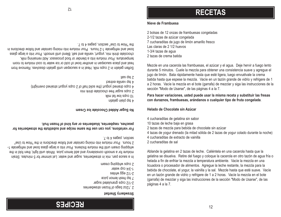## **RECIPES**

### **Strawberry Sherbet**

- - -
- 2 ,12oz bags of transmest response to the
- 2-1/2 cups granulated sugar
- 
- 7 tsp fresh lemon juice
- 
- 2-1/2 egg whites
- 1-3/4 cup water
- z cnbs wubbing cream

In a sauce pan, mix in strawberries, sugar and water. Let simmer for 5 minutes. Strain mixture for a smooth consistency and add lemon juice. Whisk until light, then the fold in the whipping cream until the mixture thickens. Pour into a large glass bowl and refrigerate 1-2 hours. Pour mixture into mixing canister and follow and contours in the "How to Use"

 $\cdot$  and  $\theta$  is a section to  $\theta$ .

**For variations, you can use the same recipe and substitute the strawberries for peaches, raspberries, blueberries or any kind of frozen fruit.**

**No Sugar Added Chocolate Ice Cream**

the "How to Use" section, pages  $4 \text{ p}$ 

- 
- 4 tsp bland gelatin
- 10 cups low fat milk
- 2 cups sugar free chocolate drink mix
- $+$  cups drained yogurt (the solid half of  $\ge$  to the yogurt strained overnight)

4 tsp vanilla extract

 $i$  thes dsi  $z$ 

Soften gelatin in 2 cups milk. Heat in a saucepane natil gelatin dissolves. Remove from heat and place saucepan in another bowl of cold or ice water to cool mixture to room temperature. Pour mixture into a blender or food processor. Add remaining milk, chocolate drink mix, yogurt, vanilla and salt. Blend until smooth. Pour into a large glass bowl and refrigerate 1-2 hours. Pour mixture into mixing canister and follow directions in

 $7l$ 

2 bolsas de 12 onzas de frambuesas congeladas

7 cucharaditas de jugo de limón amarillo fresco

**Nieve de Frambuesa**

Las claras de 2 1/2 huevos

1-3/4 tazas de agua 2 tazas de crema batida

2-1/2 tazas de azúcar congelada

**RECETAS**

Mezcle en una cacerola las frambuesas, el azúcar y el agua. Deje hervir a fuego lento durante 5 minutos. Cuele la mezcla para obtener una consistencia suave y agregue el jugo de limón. Bata rápidamente hasta que esté ligera, luego envuélvale la crema batida hasta que espese la mezcla. Vacíe en un tazón grande de vidrio y refrigere de 1 a 2 horas. Vacíe la mezcla en el bote (garrafa) de mezclar y siga las instrucciones de la

**Para hacer variaciones, usted puede usar la misma receta y substituir las fresas con duraznos, frambuesas, arándanos o cualquier tipo de fruta congelada**.

4 cucharaditas de gelatina sin sabor

10 tazas de leche baja en grasa

2 cucharaditas de sal

páginas 4 a la 7.

4 cucharaditas de extracto de vainilla

12

4 tazas de yogur drenado (la mitad sólida de 2 tazas de yogur colado durante la noche)

sección "Modo de Usarse", de las páginas 4 a la 7.

Ablande la gelatina en 2 tazas de leche. Caliéntela en una cacerola hasta que la gelatina se disuelva. Retire del fuego y coloque la cacerola en otro tazón de agua fría o helada a fin de enfriar la mezcla a temperatura ambiente. Vacíe la mezcla en una licuadora o procesador de alimentos. Agregue la leche restante, la mezcla para la bebida de chocolate, el yogur, la vainilla y la sal. Mezcle hasta que esté suave. Vacíe en un tazón grande de vidrio y refrigere de 1 a 2 horas. Vacíe la mezcla en el bote (garrafa) de mezclar y siga las instrucciones de la sección "Modo de Usarse", de las

2 tazas de mezcla para bebida de chocolate sin azúcar

**Helado de Chocolate sin Azúcar**